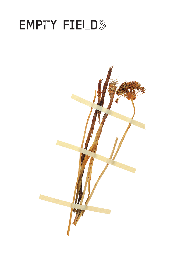# EMPTY FIELDS

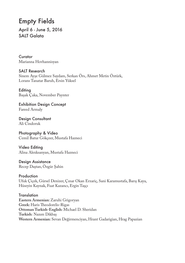# Empty Fields

April 6 - June 5, 2016 SAIT Galata

**Curator** Marianna Hovhannisyan

SALT Research Sinem Ayşe Gülmez Saydam, Serkan Örs, Ahmet Metin Öztürk, Lorans Tanatar Baruh, Ersin Yüksel

**Editing** Başak Çaka, November Paynter

Exhibition Design Concept Fareed Armaly

Design Consultant Ali Cindoruk

Photography & Video Cemil Batur Gökçeer, Mustafa Hazneci

Video Editing Alina Alexksanyan, Mustafa Hazneci

Design Assistance Recep Daştan, Özgür Şahin

Production Ufuk Çiçek, Gürsel Denizer, Çınar Okan Erzariç, Sani Karamustafa, Barış Kaya, Hüseyin Kaynak, Fuat Kazancı, Ergin Taşçı

**Translation Eastern Armenian:** Zaruhi Grigoryan **Greek:** Haris Theodorelis-Rigas **Ottoman Turkish-English:** Michael D. Sheridan **Turkish:** Nazım Dikbaş **Western Armenian:** Sevan Değirmenciyan, Hrant Gadarigian, Hrag Papazian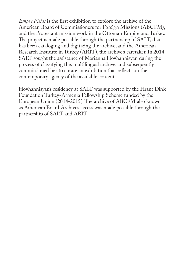*Empty Fields* is the first exhibition to explore the archive of the American Board of Commissioners for Foreign Missions (ABCFM), and the Protestant mission work in the Ottoman Empire and Turkey. The project is made possible through the partnership of SALT, that has been cataloging and digitizing the archive, and the American Research Institute in Turkey (ARIT), the archive's caretaker. In 2014 SALT sought the assistance of Marianna Hovhannisyan during the process of classifying this multilingual archive, and subsequently commissioned her to curate an exhibition that reflects on the contemporary agency of the available content.

Hovhannisyan's residency at SALT was supported by the Hrant Dink Foundation Turkey-Armenia Fellowship Scheme funded by the European Union (2014-2015). The archive of ABCFM also known as American Board Archives access was made possible through the partnership of SALT and ARIT.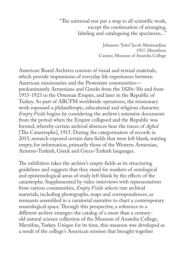"The universal war put a stop to all scientific work, except the continuation of arranging, labeling and cataloguing the specimens..."

> Johannes "John" Jacob Manissadjian 1917, Merzifoun Curator, Museum of Anatolia College

American Board Archives consists of visual and textual materials, which provide impressions of everyday life experiences between American missionaries and the Protestant communities predominantly Armenians and Greeks from the 1820s-30s and from 1915-1923 in the Ottoman Empire, and later in the Republic of Turkey. As part of ABCFM worldwide operations, the missionary work espoused a philanthropic, educational and religious character. *Empty Fields* begins by considering the archive's extensive documents from the period when the Empire collapsed and the Republic was formed, whereby certain archival absences bear the traces of *Aghed* [The Catastrophe], 1915. During the categorization of records in 2015, research exposed certain data fields that were left blank, waiting empty, for information, primarily those of the Western Armenian, Armeno-Turkish, Greek and Greco-Turkish languages.

The exhibition takes the archive's empty fields as its structuring guidelines and suggests that they stand for markers of ontological and epistemological areas of study left blank by the effects of the catastrophe. Supplemented by video interviews with representatives from various communities, *Empty Fields* selects rare archival materials, including photographs, maps and correspondences, as remnants assembled in a curatorial narrative to chart a contemporary museological space. Through this perspective, a reference to a different archive emerges: the catalog of a more than a centuryold natural science collection of the Museum of Anatolia College, Merzifon, Turkey. Unique for its time, this museum was developed as a result of the college's American mission that brought together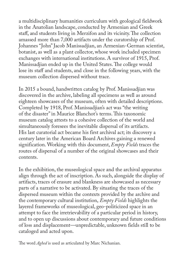a multidisciplinary humanities curriculum with geological fieldwork in the Anatolian landscape, conducted by Armenian and Greek staff, and students living in Merzifon and its vicinity. The collection amassed more than 7,000 artifacts under the curatorship of Prof. Johannes "John" Jacob Manissadjian, an Armenian-German scientist, botanist, as well as a plant collector, whose work included specimen exchanges with international institutions. A survivor of 1915, Prof. Manissadjian ended up in the United States. The college would lose its staff and students, and close in the following years, with the museum collection dispersed without trace.

In 2015 a bound, handwritten catalog by Prof. Manissadjian was discovered in the archive, labeling all specimens as well as around eighteen showcases of the museum, often with detailed descriptions. Completed by 1918, Prof. Manissadjian's act was "the writing of the disaster" in Maurice Blanchot's terms. This taxonomic museum catalog attests to a cohesive collection of the world and simultaneously foresees the inevitable dispersal of its artifacts. His last curatorial act became his first archival act; its discovery a century later in the American Board Archives gaining a renewed signification. Working with this document, *Empty Fields* traces the routes of dispersal of a number of the original showcases and their contents.

In the exhibition, the museological space and the archival apparatus align through the act of inscription. As such, alongside the display of artifacts, traces of erasure and blankness are showcased as necessary parts of a narrative to be activated. By situating the traces of the dispersed museum within the contexts provided by the archive and the contemporary cultural institution, *Empty Fields* highlights the layered frameworks of museological, geo-politicized space in an attempt to face the irretrievability of a particular period in history, and to open up discussions about contemporary and future conditions of loss and displacement—unpredictable, unknown fields still to be cataloged and acted upon.

The word *Aghed* is used as articulated by Marc Nichanian.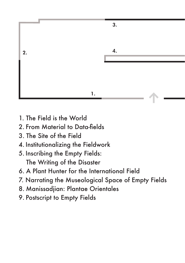

- 1. The Field is the World
- 2. From Material to Data-fields
- 3. The Site of the Field
- 4. Institutionalizing the Fieldwork
- 5. Inscribing the Empty Fields: The Writing of the Disaster
- 6. A Plant Hunter for the International Field
- 7. Narrating the Museological Space of Empty Fields
- 8. Manissadjian: Plantae Orientales
- 9. Postscript to Empty Fields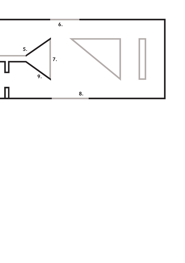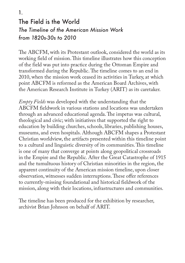# The Field is the World *The Timeline of the American Mission Work from 1820s-30s to 2010* 1.

The ABCFM, with its Protestant outlook, considered the world as its working field of mission. This timeline illustrates how this conception of the field was put into practice during the Ottoman Empire and transformed during the Republic. The timeline comes to an end in 2010, when the mission work ceased its activities in Turkey, at which point ABCFM is reformed as the American Board Archives, with the American Research Institute in Turkey (ARIT) as its caretaker.

*Empty Fields* was developed with the understanding that the ABCFM fieldwork in various stations and locations was undertaken through an advanced educational agenda. The impetus was cultural, theological and civic; with initiatives that supported the right to education by building churches, schools, libraries, publishing houses, museums, and even hospitals. Although ABCFM shapes a Protestant Christian worldview, the artifacts presented within this timeline point to a cultural and linguistic diversity of its communities. This timeline is one of many that converge at points along geopolitical crossroads in the Empire and the Republic. After the Great Catastrophe of 1915 and the tumultuous history of Christian minorities in the region, the apparent continuity of the American mission timeline, upon closer observation, witnesses sudden interruptions. These offer references to currently-missing foundational and historical fieldwork of the mission, along with their locations, infrastructures and communities.

The timeline has been produced for the exhibition by researcher, archivist Brian Johnson on behalf of ARIT.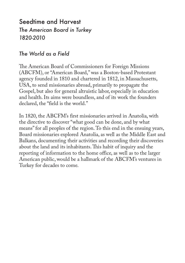# Seedtime and Harvest *The American Board in Turkey 1820-2010*

# *The World as a Field*

The American Board of Commissioners for Foreign Missions (ABCFM), or "American Board," was a Boston-based Protestant agency founded in 1810 and chartered in 1812, in Massachusetts, USA, to send missionaries abroad, primarily to propagate the Gospel, but also for general altruistic labor, especially in education and health. Its aims were boundless, and of its work the founders declared, the "field is the world."

In 1820, the ABCFM's first missionaries arrived in Anatolia, with the directive to discover "what good can be done, and by what means" for all peoples of the region. To this end in the ensuing years, Board missionaries explored Anatolia, as well as the Middle East and Balkans, documenting their activities and recording their discoveries about the land and its inhabitants. This habit of inquiry and the reporting of information to the home office, as well as to the larger American public, would be a hallmark of the ABCFM's ventures in Turkey for decades to come.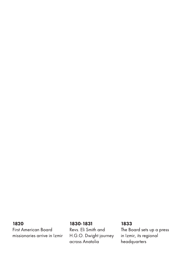### 1820

**First American Board** missionaries arrive in Izmir

#### 1830-1831

Revs. Eli Smith and H.G.O. Dwight journey across Anatolia

### 1833

The Board sets up a press in Izmir, its regional headquarters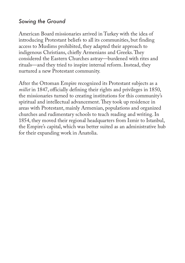### *Sowing the Ground*

American Board missionaries arrived in Turkey with the idea of introducing Protestant beliefs to all its communities, but finding access to Muslims prohibited, they adapted their approach to indigenous Christians, chiefly Armenians and Greeks. They considered the Eastern Churches astray—burdened with rites and rituals—and they tried to inspire internal reform. Instead, they nurtured a new Protestant community.

After the Ottoman Empire recognized its Protestant subjects as a *millet* in 1847, officially defining their rights and privileges in 1850, the missionaries turned to creating institutions for this community's spiritual and intellectual advancement. They took up residence in areas with Protestant, mainly Armenian, populations and organized churches and rudimentary schools to teach reading and writing. In 1854, they moved their regional headquarters from Izmir to Istanbul, the Empire's capital, which was better suited as an administrative hub for their expanding work in Anatolia.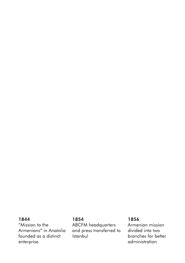#### 1844

"Mission to the Armenians" in Anatolia founded as a distinct enterprise

#### 1854

**ABCFM** headquarters and press transferred to **Istanbul** 

### 1856

Armenian mission divided into two branches for better administration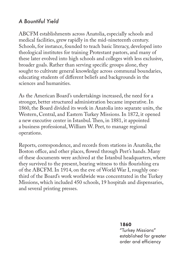## *A Bountiful Yield*

ABCFM establishments across Anatolia, especially schools and medical facilities, grew rapidly in the mid-nineteenth century. Schools, for instance, founded to teach basic literacy, developed into theological institutes for training Protestant pastors, and many of these later evolved into high schools and colleges with less exclusive, broader goals. Rather than serving specific groups alone, they sought to cultivate general knowledge across communal boundaries, educating students of different beliefs and backgrounds in the sciences and humanities.

As the American Board's undertakings increased, the need for a stronger, better structured administration became imperative. In 1860, the Board divided its work in Anatolia into separate units, the Western, Central, and Eastern Turkey Missions. In 1872, it opened a new executive center in Istanbul. Then, in 1881, it appointed a business professional, William W. Peet, to manage regional operations.

Reports, correspondence, and records from stations in Anatolia, the Boston office, and other places, flowed through Peet's hands. Many of these documents were archived at the Istanbul headquarters, where they survived to the present, bearing witness to this flourishing era of the ABCFM. In 1914, on the eve of World War I, roughly onethird of the Board's work worldwide was concentrated in the Turkey Missions, which included 450 schools, 19 hospitals and dispensaries, and several printing presses.

1860

"Turkey Missions" established for greater order and efficiency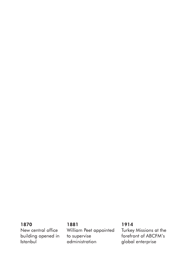### 1870

New central office building opened in<br>Istanbul

#### 1881

William Peet appointed to supervise administration

#### 1914

Turkey Missions at the forefront of ABCFM's global enterprise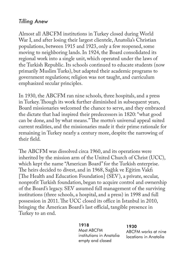# *Tilling Anew*

Almost all ABCFM institutions in Turkey closed during World War I, and after losing their largest clientele, Anatolia's Christian populations, between 1915 and 1923, only a few reopened, some moving to neighboring lands. In 1924, the Board consolidated its regional work into a single unit, which operated under the laws of the Turkish Republic. Its schools continued to educate students (now primarily Muslim Turks), but adapted their academic programs to government regulations; religion was not taught, and curriculum emphasized secular principles.

In 1930, the ABCFM ran nine schools, three hospitals, and a press in Turkey. Though its work further diminished in subsequent years, Board missionaries welcomed the chance to serve, and they embraced the dictate that had inspired their predecessors in 1820: "what good can be done, and by what means." The motto's universal appeal suited current realities, and the missionaries made it their prime rationale for remaining in Turkey nearly a century more, despite the narrowing of their field.

The ABCFM was dissolved circa 1960, and its operations were inherited by the mission arm of the United Church of Christ (UCC), which kept the name "American Board" for the Turkish enterprise. The heirs decided to divest, and in 1968, Sağlık ve Eğitim Vakfı [The Health and Education Foundation] (SEV), a private, secular, nonprofit Turkish foundation, began to acquire control and ownership of the Board's legacy. SEV assumed full management of the surviving institutions (three schools, a hospital, and a press) in 1998 and full possession in 2011. The UCC closed its office in Istanbul in 2010, bringing the American Board's last official, tangible presence in Turkey to an end.

#### 1918

Most ABCFM institutions in Anatolia empty and closed

#### 1930

ABCFM works at nine locations in Anatolia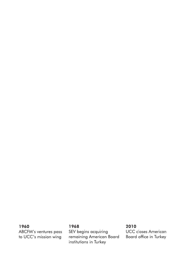#### 1960

ABCFM's ventures pass to UCC's mission wing

#### 1968

SEV begins acquiring remaining American Board institutions in Turkey

#### 2010

**UCC** closes American Board office in Turkey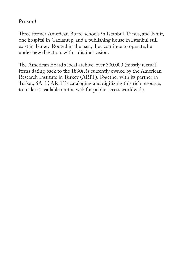### *Present*

Three former American Board schools in Istanbul, Tarsus, and Izmir, one hospital in Gaziantep, and a publishing house in Istanbul still exist in Turkey. Rooted in the past, they continue to operate, but under new direction, with a distinct vision.

The American Board's local archive, over 300,000 (mostly textual) items dating back to the 1830s, is currently owned by the American Research Institute in Turkey (ARIT). Together with its partner in Turkey, SALT, ARIT is cataloging and digitizing this rich resource, to make it available on the web for public access worldwide.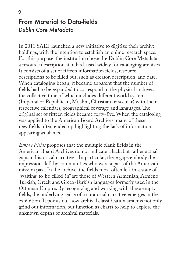# From Material to Data-fields *Dublin Core Metadata* 2.

In 2011 SALT launched a new initiative to digitize their archive holdings, with the intention to establish an online research space. For this purpose, the institution chose the Dublin Core Metadata, a resource description standard, used widely for cataloging archives. It consists of a set of fifteen information fields, resource descriptions to be filled out, such as creator, description, and date. When cataloging began, it became apparent that the number of fields had to be expanded to correspond to the physical archives, the collective time of which includes different world systems (Imperial or Republican, Muslim, Christian or secular) with their respective calendars, geographical coverage and languages. The original set of fifteen fields became forty-five. When the cataloging was applied to the American Board Archives, many of these new fields often ended up highlighting the lack of information, appearing as blanks.

*Empty Fields* proposes that the multiple blank fields in the American Board Archives do not indicate a lack, but rather actual gaps in historical narratives. In particular, these gaps embody the impressions left by communities who were a part of the American mission past. In the archive, the fields most often left in a state of "waiting-to-be-filled-in" are those of Western Armenian, Armeno-Turkish, Greek and Greco-Turkish languages formerly used in the Ottoman Empire. By recognizing and working with these empty fields, the underlying sense of a curatorial narrative emerges in the exhibition. It points out how archival classification systems not only grind out information, but function as charts to help to explore the unknown depths of archival materials.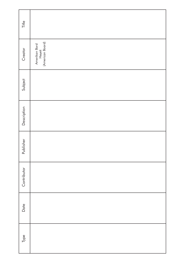| Title       |                                             |
|-------------|---------------------------------------------|
| Creator     | Amerikan Bord<br>Heyeti<br>(American Board) |
| Subject     |                                             |
| Description |                                             |
| Publisher   |                                             |
| Contributor |                                             |
| Date        |                                             |
| Туре        |                                             |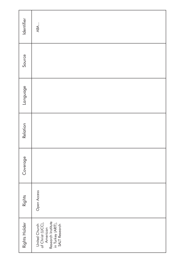| Identifier    | ABA                                                                                                       |
|---------------|-----------------------------------------------------------------------------------------------------------|
| Source        |                                                                                                           |
| Language      |                                                                                                           |
| Relation      |                                                                                                           |
| Coverage      |                                                                                                           |
| Rights        | Open Access                                                                                               |
| Rights Holder | United Church<br>of Christ (UCC),<br>American<br>Research Institute<br>in Turkey (ARIT),<br>SALT Research |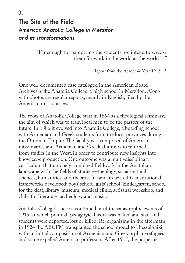# The Site of the Field *American Anatolia College in Merzifon and its Transformations* 3.

"Far enough for pampering the students, we intend to *prepare* them for work in the world as the world is."

Report from the Academic Year, 1912-13

One well-documented case cataloged in the American Board Archives is the Anatolia College, a high school in Merzifon. Along with photos are regular reports, mainly in English, filed by the American missionaries.

The roots of Anatolia College start in 1864 as a theological seminary, the aim of which was to train local men to be the pastors of the future. In 1886 it evolved into Anatolia College, a boarding school with Armenian and Greek students from the local provinces during the Ottoman Empire. The faculty was comprised of American missionaries and Armenian and Greek alumni who returned from studies in the West, in order to contribute new insights into knowledge production. One outcome was a multi-disciplinary curriculum that uniquely combined fieldwork in the Anatolian landscape with the fields of studies—theology, social/natural sciences, humanities, and the arts. In tandem with this, institutional frameworks developed: boys' school, girls' school, kindergarten, school for the deaf, library-museum, medical clinic, artisanal workshop, and clubs for literature, archeology and music.

Anatolia College's success continued until the catastrophic events of 1915, at which point all pedagogical work was halted and staff and students were deported, lost or killed. Re-organizing in the aftermath, in 1924 the ABCFM transplanted the school model to Thessaloniki, with an initial composition of Armenian and Greek orphan-refugees and some expelled American professors. After 1915, the properties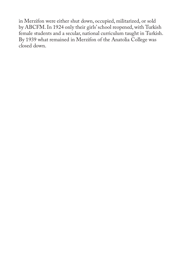in Merzifon were either shut down, occupied, militarized, or sold by ABCFM. In 1924 only their girls' school reopened, with Turkish female students and a secular, national curriculum taught in Turkish. By 1939 what remained in Merzifon of the Anatolia College was closed down.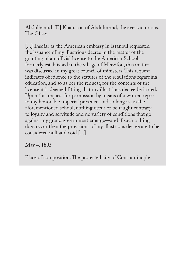Abdulhamid [II] Khan, son of Abdülmecid, the ever victorious. The Ghazi.

[...] Insofar as the American embassy in Istanbul requested the issuance of my illustrious decree in the matter of the granting of an official license to the American School, formerly established in the village of Merzifon, this matter was discussed in my great council of ministers. This request indicates obedience to the statutes of the regulations regarding education, and so as per the request, for the contents of the license it is deemed fitting that my illustrious decree be issued. Upon this request for permission by means of a written report to my honorable imperial presence, and so long as, in the aforementioned school, nothing occur or be taught contrary to loyalty and servitude and no variety of conditions that go against my grand government emerge—and if such a thing does occur then the provisions of my illustrious decree are to be considered null and void [...].

May 4, 1895

Place of composition: The protected city of Constantinople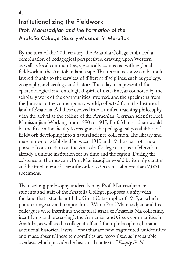# Institutionalizing the Fieldwork *Prof. Manissadjian and the Formation of the Anatolia College Library-Museum in Merzifon*

By the turn of the 20th century, the Anatolia College embraced a combination of pedagogical perspectives, drawing upon Western as well as local communities, specifically connected with regional fieldwork in the Anatolian landscape. This terrain is shown to be multilayered thanks to the services of different disciplines, such as geology, geography, archaeology and history. These layers represented the epistemological and ontological spirit of that time, as connoted by the scholarly work of the communities involved, and the specimens from the Jurassic to the contemporary world, collected from the historical land of Anatolia. All these evolved into a unified teaching philosophy with the arrival at the college of the Armenian-German scientist Prof. Manissadjian. Working from 1890 to 1915, Prof. Manissadjian would be the first in the faculty to recognize the pedagogical possibilities of fieldwork developing into a natural science collection. The library and museum were established between 1910 and 1911 as part of a new phase of construction on the Anatolia College campus in Merzifon, already a unique institution for its time and the region. During the existence of the museum, Prof. Manissadjian would be its only curator and he implemented scientific order to its eventual more than 7,000 specimens.

The teaching philosophy undertaken by Prof. Manissadjian, his students and staff of the Anatolia College, proposes a unity with the land that extends until the Great Catastrophe of 1915, at which point emerge several temporalities. While Prof. Manissadjian and his colleagues were inscribing the natural strata of Anatolia (via collecting, identifying and preserving), the Armenian and Greek communities in Anatolia, as well as the college itself and their philosophies, became additional historical layers—ones that are now fragmented, unidentified and made absent. These temporalities are recognized as inseparable overlays, which provide the historical context of *Empty Fields*.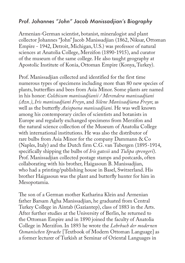### *Prof. Johannes "John" Jacob Manissadjian's Biography*

Armenian-German scientist, botanist, mineralogist and plant collector Johannes "John" Jacob Manissadjian (1862, Niksar, Ottoman Empire - 1942, Detroit, Michigan, U.S.) was professor of natural sciences at Anatolia College, Merzifon (1890-1915), and curator of the museum of the same college. He also taught geography at Apostolic Institute of Konia, Ottoman Empire (Konya, Turkey).

Prof. Manissadjian collected and identified for the first time numerous types of specimens including more than 80 new species of plants, butterflies and bees from Asia Minor. Some plants are named in his honor: *Colchicum manissadjianii / Merendera manissadjiani (Azn.)*, *Iris manissadjiani Freyn*, and *Silene Manissadjiana Freyn*; as well as the butterfly *Axiopoena manissadjiani.* He was well known among his contemporary circles of scientists and botanists in Europe and regularly exchanged specimens from Merzifon and the natural science collection of the Museum of Anatolia College with international institutions. He was also the distributor of rare bulbs from Asia Minor for the company Dammann & Co (Naples, Italy) and the Dutch firm C.G. van Tubergen (1895-1914, specifically shipping the bulbs of *Iris gatesii* and *Tulipa sprengeri*). Prof. Manissadjian collected postage stamps and postcards, often collaborating with his brother, Haigasoun B. Manissadjian, who had a printing/publishing house in Basel, Switzerland. His brother Haigasoun was the plant and butterfly hunter for him in Mesopotamia.

The son of a German mother Katharina Klein and Armenian father Barsam Agha Manissadjian, he graduated from Central Turkey College in Aintab (Gaziantep), class of 1883 in the Arts. After further studies at the University of Berlin, he returned to the Ottoman Empire and in 1890 joined the faculty of Anatolia College in Merzifon. In 1893 he wrote the *Lehrbuch der modernen Osmanischen Sprache* [Textbook of Modern Ottoman Language] as a former lecturer of Turkish at Seminar of Oriental Languages in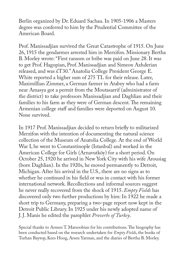Berlin organized by Dr. Eduard Sachau. In 1905-1906 a Masters degree was conferred to him by the Prudential Committee of the American Board.

Prof. Manissadjian survived the Great Catastrophe of 1915. On June 26, 1915 the gendarmes arrested him in Merzifon. Missionary Bertha B. Morley wrote: "First ransom or bribe was paid on June 28. It was to get Prof. Hagopian, Prof. Manissadjian and Simeon Azhderian released, and was £T30." Anatolia College President George E. White reported a higher sum of 275 TL for their release. Later, Maximillian Zimmer, a German farmer in Atabey who had a farm near Amasya got a permit from the Moutasarrif (administrator of the district) to take professors Manissadjian and Daghlian and their families to his farm as they were of German descent. The remaining Armenian college staff and families were deported on August 10. None survived.

In 1917 Prof. Manissadjian decided to return briefly to militarized Merzifon with the intention of documenting the natural science collection of the Museum of Anatolia College. At the end of World War I, he went to Constantinople (Istanbul) and worked in the American College for Girls (Arnavutköy) for a short period. On October 25, 1920 he arrived in New York City with his wife Arousiag (born Daghlian). In the 1920s, he moved permanently to Detroit, Michigan. After his arrival in the U.S., there are no signs as to whether he continued in his field or was in contact with his former international network. Recollections and informal sources suggest he never really recovered from the shock of 1915. *Empty Fields* has discovered only two further productions by him: In 1922 he made a short trip to Germany, preparing a two-page report now kept in the Detroit Public Library. In 1925 under his newly adopted name of J. J. Manis he edited the pamphlet *Proverbs of Turkey*.

Special thanks to Armen T. Marsoobian for his contributions. The biography has been conducted based on the research undertaken for *Empty Fields*, the books of Turhan Baytop, Kees Hoog, Arsen Yarman, and the diaries of Bertha B. Morley.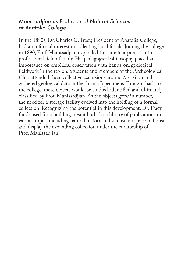### *Manissadjian as Professor of Natural Sciences at Anatolia College*

In the 1880s, Dr. Charles C. Tracy, President of Anatolia College, had an informal interest in collecting local fossils. Joining the college in 1890, Prof. Manissadjian expanded this amateur pursuit into a professional field of study. His pedagogical philosophy placed an importance on empirical observation with hands-on, geological fieldwork in the region. Students and members of the Archeological Club attended these collective excursions around Merzifon and gathered geological data in the form of specimens. Brought back to the college, these objects would be studied, identified and ultimately classified by Prof. Manissadjian. As the objects grew in number, the need for a storage facility evolved into the holding of a formal collection. Recognizing the potential in this development, Dr. Tracy fundraised for a building meant both for a library of publications on various topics including natural history and a museum space to house and display the expanding collection under the curatorship of Prof. Manissadjian.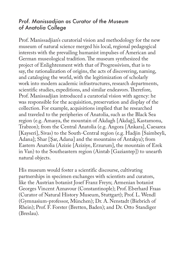### *Prof. Manissadjian as Curator of the Museum of Anatolia College*

Prof. Manissadjian's curatorial vision and methodology for the new museum of natural science merged his local, regional pedagogical interests with the prevailing humanist impulses of American and German museological tradition. The museum synthesized the project of Enlightenment with that of Progressivism, that is to say, the rationalization of origins, the acts of discovering, naming, and cataloging the world, with the legitimization of scholarly work into modern academic infrastructures, research departments, scientific studies, expeditions, and similar endeavors. Therefore, Prof. Manissadjian introduced a curatorial vision with agency: he was responsible for the acquisition, preservation and display of the collection. For example, acquisitions implied that he researched and traveled to the peripheries of Anatolia, such as the Black Sea region (e.g. Amasya, the mountain of Akdagh [Akdağ], Kastamonu, Trabzon); from the Central Anatolia (e.g. Angora [Ankara], Caesarea [Kayseri], Sivas) to the South-Central region (e.g. Hadjin [Saimbeyli, Adana]; Shar [Şar, Adana] and the mountains of Antakya); from Eastern Anatolia (Azizie [Aziziye, Erzurum], the mountain of Erek in Van) to the Southeastern region (Aintab [Gaziantep]) to unearth natural objects.

His museum would foster a scientific discourse, cultivating partnerships in specimen exchanges with scientists and curators, like the Austrian botanist Josef Franz Freyn; Armenian botanist Georges Vincent Aznavour (Constantinople); Prof. Eberhard Fraas (Curator of Natural History Museum, Stuttgart); Prof. L. Wendl (Gymnasium-professor, München); Dr. A. Nenstadt (Biebrich of Rhein); Prof. F. Forster (Bretten, Baden); and Dr. Otto Standiger (Breslau).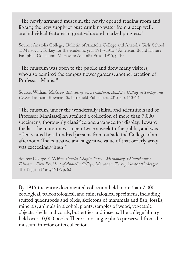"The newly arranged museum, the newly opened reading room and library, the new supply of pure drinking water from a deep well, are individual features of great value and marked progress."

Source: Anatolia College, "Bulletin of Anatolia College and Anatolia Girls' School, at Marsovan, Turkey, for the academic year 1914-1915," American Board Library Pamphlet Collection, Marsovan: Anatolia Press, 1915, p. 10

"The museum was open to the public and drew many visitors, who also admired the campus flower gardens, another creation of Professor 'Manis.'"

Source: William McGrew, *Educating across Cultures: Anatolia College in Turkey and Greece*, Lanham: Rowman & Littlefield Publishers, 2015, pp. 113-14

"The museum, under the wonderfully skilful and scientific hand of Professor Manissadjian attained a collection of more than 7,000 specimens, thoroughly classified and arranged for display. Toward the last the museum was open twice a week to the public, and was often visited by a hundred persons from outside the College of an afternoon. The educative and suggestive value of that orderly array was exceedingly high."

Source: George E. White, *Charles Chapin Tracy - Missionary, Philanthropist, Educator: First President of Anatolia College, Marsovan, Turkey*, Boston/Chicago: The Pilgrim Press, 1918, p. 62

By 1915 the entire documented collection held more than 7,000 zoological, paleontological, and mineralogical specimens, including stuffed quadrupeds and birds, skeletons of mammals and fish, fossils, minerals, animals in alcohol, plants, samples of wood, vegetable objects, shells and corals, butterflies and insects. The college library held over 10,000 books. There is no single photo preserved from the museum interior or its collection.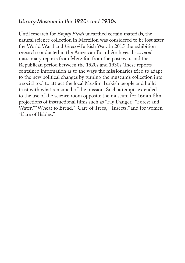### *Library-Museum in the 1920s and 1930s*

Until research for *Empty Fields* unearthed certain materials*,* the natural science collection in Merzifon was considered to be lost after the World War I and Greco-Turkish War. In 2015 the exhibition research conducted in the American Board Archives discovered missionary reports from Merzifon from the post-war, and the Republican period between the 1920s and 1930s. These reports contained information as to the ways the missionaries tried to adapt to the new political changes by turning the museum's collection into a social tool to attract the local Muslim Turkish people and build trust with what remained of the mission. Such attempts extended to the use of the science room opposite the museum for 16mm film projections of instructional films such as "Fly Danger," "Forest and Water," "Wheat to Bread," "Care of Trees," "Insects," and for women "Care of Babies."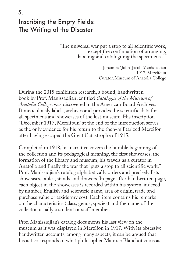# Inscribing the Empty Fields: The Writing of the Disaster 5.

"The universal war put a stop to all scientific work, except the continuation of arranging, labeling and cataloguing the specimens..."

> Johannes "John" Jacob Manissadjian 1917, Merzifoun Curator, Museum of Anatolia College

During the 2015 exhibition research, a bound, handwritten book by Prof. Manissadjian, entitled *Catalogue of the Museum of Anatolia College*, was discovered in the American Board Archives. It meticulously labels, archives and provides the scientific data for all specimens and showcases of the lost museum. His inscription "December 1917, Merzifoun" at the end of the introduction serves as the only evidence for his return to the then-militarized Merzifon after having escaped the Great Catastrophe of 1915.

Completed in 1918, his narrative covers the humble beginning of the collection and its pedagogical meaning, the first showcases, the formation of the library and museum, his travels as a curator in Anatolia and finally the war that "puts a stop to all scientific work." Prof. Manissidjian's catalog alphabetically orders and precisely lists showcases, tables, stands and drawers. In page after handwritten page, each object in the showcases is recorded within his system, indexed by number, English and scientific name, area of origin, trade and purchase value or taxidermy cost. Each item contains his remarks on the characteristics (class, genus, species) and the name of the collector, usually a student or staff member.

Prof. Manissidjian's catalog documents his last view on the museum as it was displayed in Merzifon in 1917. With its obsessive handwritten accounts, among many aspects, it can be argued that his act corresponds to what philosopher Maurice Blanchot coins as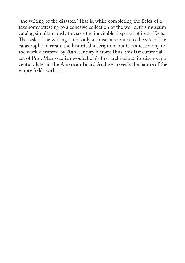"the writing of the disaster." That is, while completing the fields of a taxonomy attesting to a cohesive collection of the world, this museum catalog simultaneously foresees the inevitable dispersal of its artifacts. The task of the writing is not only a conscious return to the site of the catastrophe to create the historical inscription, but it is a testimony to the work disrupted by 20th-century history. Thus, this last curatorial act of Prof. Manissadjian would be his first archival act; its discovery a century later in the American Board Archives reveals the nature of the empty fields within.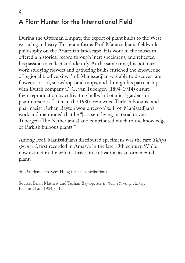# A Plant Hunter for the International Field 6.

During the Ottoman Empire, the export of plant bulbs to the West was a big industry. This era informs Prof. Manissadjian's fieldwork philosophy on the Anatolian landscape. His work in the museum offered a historical record through inert specimens, and reflected his passion to collect and identify. At the same time, his botanical work studying flowers and gathering bulbs enriched the knowledge of regional biodiversity. Prof. Manissadjian was able to discover rare flowers—irises, snowdrops and tulips, and through his partnership with Dutch company C. G. van Tubergen (1894-1914) ensure their reproduction by cultivating bulbs in botanical gardens or plant nurseries. Later, in the 1980s renowned Turkish botanist and pharmacist Turhan Baytop would recognize Prof. Manissadjian's work and mentioned that he "[...] sent living material to van Tubergen (The Netherlands) and contributed much to the knowledge of Turkish bulbous plants."

Among Prof. Manissidjian's distributed specimens was the rare *Tulipa sprengeri*, first recorded in Amasya in the late 19th century. While now extinct in the wild it thrives in cultivation as an ornamental plant.

Special thanks to Kees Hoog for his contributions

Source: Brian Mathew and Turhan Baytop, *The Bulbous Plants of Turkey*, Batsford Ltd, 1984, p. 12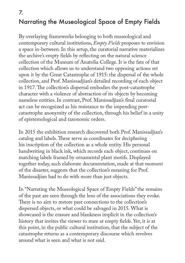# Narrating the Museological Space of Empty Fields 7.

By overlaying frameworks belonging to both museological and contemporary cultural institutions, *Empty Fields* proposes to envision a space in-between. In this setup, the curatorial narrative materializes the archive's empty fields by reflecting on the natural science collection of the Museum of Anatolia College. It is the fate of that collection which allows us to understand two opposing actions set upon it by the Great Catastrophe of 1915: the dispersal of the whole collection, and Prof. Manissadjian's detailed recording of each object in 1917. The collection's dispersal embodies the post-catastrophe character with a violence of abstraction of its objects by becoming nameless entities. In contrast, Prof. Manissadjian's final curatorial act can be recognized as his resistance to the impending postcatastrophe anonymity of the collection, through his belief in a unity of epistemological and taxonomic orders.

In 2015 the exhibition research discovered both Prof. Manissadjian's catalog and labels. These serve as coordinates for deciphering his inscription of the collection as a whole entity. His personal handwriting in black ink, which records each object, continues on matching labels framed by ornamental plant motifs. Displayed together today, such elaborate documentation, made at that moment of the disaster, suggests that the collection's meaning for Prof. Manissadjian had to do with more than just objects.

In "Narrating the Museological Space of Empty Fields" the remains of the past are seen through the lens of the associations they evoke. There is no aim to restore past connections to the collection's dispersed objects, or what could be salvaged in 2015. What is showcased is the erasure and blankness implicit in the collection's history that invites the viewer to stare at empty fields. Yet, it is at this point, in the public cultural institution, that the subject of the catastrophe returns as a contemporary discourse which revolves around what is seen and what is not said.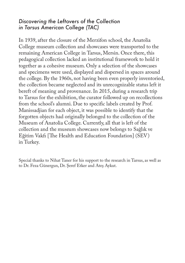### *Discovering the Leftovers of the Collection in Tarsus American College (TAC)*

In 1939, after the closure of the Merzifon school, the Anatolia College museum collection and showcases were transported to the remaining American College in Tarsus, Mersin. Once there, this pedagogical collection lacked an institutional framework to hold it together as a cohesive museum. Only a selection of the showcases and specimens were used, displayed and dispersed in spaces around the college. By the 1960s, not having been even properly inventoried, the collection became neglected and its unrecognizable status left it bereft of meaning and provenance. In 2015, during a research trip to Tarsus for the exhibition, the curator followed up on recollections from the school's alumni. Due to specific labels created by Prof. Manissadjian for each object, it was possible to identify that the forgotten objects had originally belonged to the collection of the Museum of Anatolia College. Currently, all that is left of the collection and the museum showcases now belongs to Sağlık ve Eğitim Vakfı [The Health and Education Foundation] (SEV) in Turkey.

Special thanks to Nihat Taner for his support to the research in Tarsus, as well as to Dr. Feza Günergun, Dr. Şeref Etker and Ateş Aykut.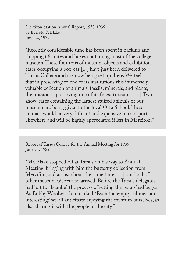Merzifon Station Annual Report, 1938-1939 by Everett C. Blake June 22, 1939

"Recently considerable time has been spent in packing and shipping 66 crates and boxes containing most of the college museum. These four tons of museum objects and exhibition cases occupying a box-car [...] have just been delivered to Tarsus College and are now being set up there. We feel that in preserving to one of its institutions this immensely valuable collection of animals, fossils, minerals, and plants, the mission is preserving one of its finest treasures. [...] Two show-cases containing the largest stuffed animals of our museum are being given to the local Orta School. These animals would be very difficult and expensive to transport elsewhere and will be highly appreciated if left in Merzifon."

Report of Tarsus College for the Annual Meeting for 1939 June 24, 1939

"Mr. Blake stopped off at Tarsus on his way to Annual Meeting, bringing with him the butterfly collection from Merzifon, and at just about the same time […] our load of other museum pieces also arrived. Before the Tarsus delegates had left for Istanbul the process of setting things up had begun. As Bobby Woolworth remarked, 'Even the empty cabinets are interesting:' we all anticipate enjoying the museum ourselves, as also sharing it with the people of the city."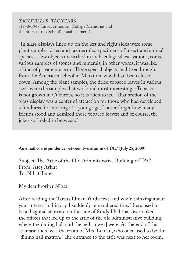*TAC'LI YILLAR* [TAC YEARS] (1940-1947 Tarsus American College Memories and the Story of the School's Establishment)

"In glass displays lined up on the left and right sides were some plant samples, dried and taxidermied specimens of insect and animal species, a few objects unearthed in archaeological excavations, coins, various samples of stones and minerals; in other words, it was like a kind of private museum. These special objects had been brought from the American school in Merzifon, which had been closed down. Among the plant samples, the dried tobacco leaves in various sizes were the samples that we found most interesting. –Tobacco is not grown in Çukurova, so it is alien to us.– That section of the glass display was a center of attraction for those who had developed a fondness for smoking at a young age; I never forget how many friends stood and admired those tobacco leaves; and of course, the jokes sprinkled in between."

#### **An email correspondence between two alumni of TAC ( July 25, 2009)**

Subject: The Attic of the Old Administrative Building of TAC From: Ateş Aykut To: Nihat Taner

My dear brother Nihat,

After reading the Tarsus İdman Yurdu text, and while thinking about your interest in history, I suddenly remembered this: There used to be a diagonal staircase on the side of Study Hall that overlooked the offices that led up to the attic of the old administrative building, where the dining hall and the bell [tower] were. At the end of this staircase there was the room of Mrs. Leman, who once used to be the "dining hall matron." The entrance to the attic was next to her room.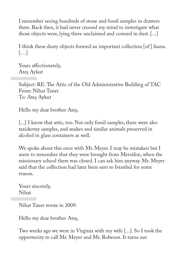I remember seeing hundreds of stone and fossil samples in drawers there. Back then, it had never crossed my mind to investigate what those objects were, lying there unclaimed and covered in dust. [...]

I think these dusty objects formed an important collection [of ] fauna. […]

Yours affectionately, Ateş Aykut

Subject: RE: The Attic of the Old Administrative Building of TAC From: Nihat Taner To: Ateş Aykut

Hello my dear brother Ateş,

[...] I know that attic, too. Not only fossil samples, there were also taxidermy samples, and snakes and similar animals preserved in alcohol in glass containers as well.

We spoke about this once with Mr. Meyer. I may be mistaken but I seem to remember that they were brought from Merzifon, when the missionary school there was closed. I can ask him anyway. Mr. Meyer said that the collection had later been sent to Istanbul for some reason.

Yours sincerely, Nihat

Nihat Taner wrote in 2009:

Hello my dear brother Ateş,

Two weeks ago we were in Virginia with my wife [...]. So I took the opportunity to call Mr. Meyer and Mr. Robeson. It turns out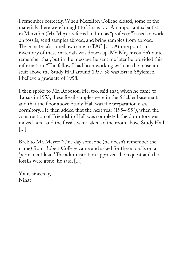I remember correctly. When Merzifon College closed, some of the materials there were brought to Tarsus [...] An important scientist in Merzifon (Mr. Meyer referred to him as "professor") used to work on fossils, send samples abroad, and bring samples from abroad. These materials somehow came to TAC [...]. At one point, an inventory of these materials was drawn up. Mr. Meyer couldn't quite remember that, but in the message he sent me later he provided this information, "The fellow I had been working with on the museum stuff above the Study Hall around 1957-58 was Ertan Söylemez, I believe a graduate of 1958."

I then spoke to Mr. Robeson. He, too, said that, when he came to Tarsus in 1953, these fossil samples were in the Stickler basement, and that the floor above Study Hall was the preparation class dormitory. He then added that the next year (1954-55?), when the construction of Friendship Hall was completed, the dormitory was moved here, and the fossils were taken to the room above Study Hall. [...]

Back to Mr. Meyer: "One day someone (he doesn't remember the name) from Robert College came and asked for these fossils on a 'permanent loan.' The administration approved the request and the fossils were gone" he said. [...]

Yours sincerely, Nihat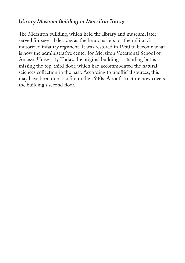# *Library-Museum Building in Merzifon Today*

The Merzifon building, which held the library and museum, later served for several decades as the headquarters for the military's motorized infantry regiment. It was restored in 1990 to become what is now the administrative center for Merzifon Vocational School of Amasya University. Today, the original building is standing but is missing the top, third floor, which had accommodated the natural sciences collection in the past. According to unofficial sources, this may have been due to a fire in the 1940s. A roof structure now covers the building's second floor.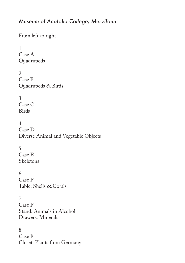### *Museum of Anatolia College, Merzifoun*

From left to right

1. Case A Quadrupeds

2. Case B Quadrupeds & Birds

3. Case C Birds

4. Case D Diverse Animal and Vegetable Objects

5. Case E Skeletons

6. Case F Table: Shells & Corals

7. Case F Stand: Animals in Alcohol Drawers: Minerals

8. Case F Closet: Plants from Germany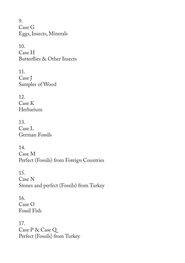9. Case G Eggs, Insects, Minerals

10. Case H Butterflies & Other Insects

11. Case J Samples of Wood

12. Case K Herbarium

13. Case L German Fossils

14. Case M Perfect (Fossils) from Foreign Countries

15. Case N Stones and perfect (Fossils) from Turkey

16. Case O Fossil Fish

17. Case P & Case Q Perfect (Fossils) from Turkey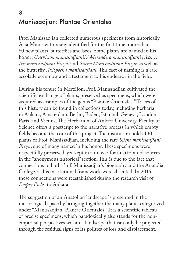# Manissadjian: Plantae Orientales 8.

Prof. Manissadjian collected numerous specimens from historically Asia Minor with many identified for the first time: more than 80 new plants, butterflies and bees. Some plants are named in his honor: *Colchicum manissadjianii / Merendera manissadjiani (Azn.)*, *Iris manissadjiani Freyn*, and *Silene Manissadjiana Freyn*; as well as the butterfly *Axiopoena manissadjiani.* This fact of naming is a rare accolade even now and a testament to his endeavor in the field.

During his tenure in Merzifon, Prof. Manissadjian cultivated the scientific exchange of plants, preserved as specimens, which were acquired as examples of the genus "Plantae Orientales." Traces of this history can be found in collections today, including herbaria in Ankara, Amsterdam, Berlin, Baden, Istanbul, Geneva, London, Paris, and Vienna. The Herbarium of Ankara University, Faculty of Science offers a postscript to the narrative process in which empty fields become the core of this project. The institution holds 130 plants of Prof. Manissadjian, including the rare *Silene manissadjiani Freyn*, one of many named in his honor. These specimens were respectfully preserved, yet kept in a drawer for unattributed sources, in the "anonymous historical" section. This is due to the fact that connections to both Prof. Manissadjian's biography and the Anatolia College, as his institutional framework, were absented. In 2015, these connections were reestablished during the research visit of *Empty Fields* to Ankara.

The suggestion of an Anatolian landscape is presented in the museological space by bringing together the many plants categorized under "Manissadjian: Plantae Orientales." It is a scientific tableau of precise specimens, which paradoxically also stands for the nonempirical perspectives within a landscape that can only be projected through the residual signs of its politics of loss and displacement.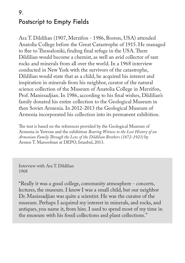# Postscript to Empty Fields 9.

Ara T. Dildilian (1907, Merzifon - 1986, Boston, USA) attended Anatolia College before the Great Catastrophe of 1915. He managed to flee to Thessaloniki, finding final refuge in the USA. There Dildilian would become a chemist, as well an avid collector of rare rocks and minerals from all over the world. In a 1968 interview conducted in New York with the survivors of the catastrophe, Dildilian would state that as a child, he acquired his interest and inspiration in minerals from his neighbor, curator of the natural science collection of the Museum of Anatolia College in Merzifon, Prof. Manissadjian. In 1986, according to his final wishes, Dildilian's family donated his entire collection to the Geological Museum in then Soviet Armenia. In 2012-2013 the Geological Museum of Armenia incorporated his collection into its permanent exhibition.

The text is based on the references provided by the Geological Museum of Armenia in Yerevan and the exhibition *Bearing Witness to the Lost History of an Armenian Family Through the Lens of the Dildilian Brothers (1872-1923)* by Armen T. Marsoobian at DEPO, Istanbul, 2013.

Interview with Ara T. Dildilian 1968

"Really it was a good college, community atmosphere - concerts, lectures, the museum. I know I was a small child, but our neighbor Dr. Manissadjian was quite a scientist. He was the curator of the museum. Perhaps I acquired my interest in minerals, and rocks, and antiques, you name it, from him. I used to spend most of my time in the museum with his fossil collections and plant collections."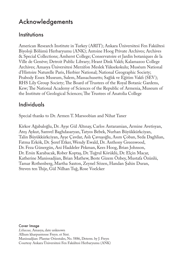# Acknowledgements

### **Institutions**

American Research Institute in Turkey (ARIT); Ankara Üniversitesi Fen Fakültesi Biyoloji Bölümü Herbaryumu (ANK); Antoine Hoog Private Archives; Archives & Special Collections; Amherst College; Conservatoire et Jardin botaniques de la Ville de Genève; Detroit Public Library; Hrant Dink Vakfı; Kalamazoo College Archives; Amasya Üniversitesi Merzifon Meslek Yüksekokulu; Muséum National d'Histoire Naturelle Paris, Herbier National; National Geographic Society; Peabody Essex Museum, Salem, Massachusetts; Sağlık ve Eğitim Vakfı (SEV); RHS Lily Group Society; The Board of Trustees of the Royal Botanic Gardens, Kew; The National Academy of Sciences of the Republic of Armenia, Museum of the Institute of Geological Sciences; The Trustees of Anatolia College

### Individuals

Special thanks to Dr. Armen T. Marsoobian and Nihat Taner

Kirkor Ağabaloğlu, Dr. Ayşe Gül Altınay, Carlos Antaramian, Armine Avetisyan, Ateş Aykut, Samvel Baghdasaryan, Tatyos Bebek, Nurhan Büyükkürkciyan, Talin Büyükkürkciyan, Ayşe Çavdar, Aslı Çavuşoğlu, Asım Çoban, Seda Daghlian, Fatma Erkök, Dr. Şeref Etker, Wendy Ewald, Dr. Anthony Greenwood, Dr. Feza Günergün, Ani Haddeler Pekman, Kees Hoog, Brian Johnson, Dr. Ersin Karabacak, Rober Koptaş, Dr. Tuğrul Körüklü, Dr. Elçin Macar, Katherine Manissadjian, Brian Mathew, Beste Gizem Özbey, Mustafa Özünlü, Tamar Rothenberg, Martha Saxton, Zeynel Sözen, Handan Şahin Duran, Steven ten Thije, Gül Nilhan Tuğ, Rose Voelcker

Cover Image *Liliaceae,* Amasya, date unknown Allium kharpuntense Freyn. et Sint. Manissadjian: Plantae Orientales, No. 5886, Determ. by J. Freyn Courtesy Ankara Üniversitesi Fen Fakültesi Herbaryumu (ANK)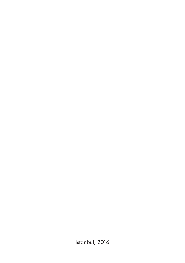Istanbul, 2016